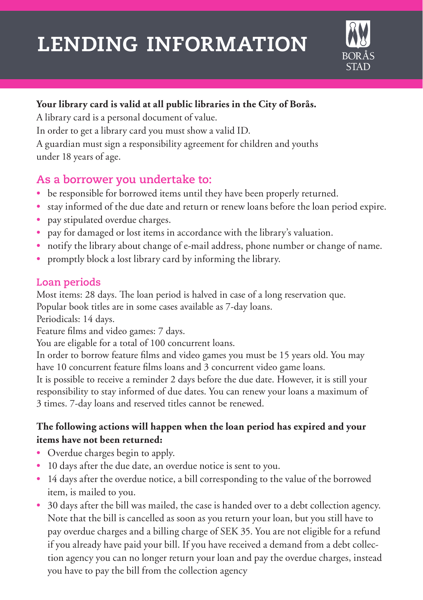# **lending information**



## **Your library card is valid at all public libraries in the City of Borås.**

A library card is a personal document of value. In order to get a library card you must show a valid ID. A guardian must sign a responsibility agreement for children and youths under 18 years of age.

# **As a borrower you undertake to:**

- **•** be responsible for borrowed items until they have been properly returned.
- **•** stay informed of the due date and return or renew loans before the loan period expire.
- **•** pay stipulated overdue charges.
- **•** pay for damaged or lost items in accordance with the library's valuation.
- **•** notify the library about change of e-mail address, phone number or change of name.
- **•** promptly block a lost library card by informing the library.

# **Loan periods**

Most items: 28 days. The loan period is halved in case of a long reservation que.

Popular book titles are in some cases available as 7-day loans.

Periodicals: 14 days.

Feature films and video games: 7 days.

You are eligable for a total of 100 concurrent loans.

In order to borrow feature films and video games you must be 15 years old. You may have 10 concurrent feature films loans and 3 concurrent video game loans.

It is possible to receive a reminder 2 days before the due date. However, it is still your responsibility to stay informed of due dates. You can renew your loans a maximum of 3 times. 7-day loans and reserved titles cannot be renewed.

## **The following actions will happen when the loan period has expired and your items have not been returned:**

- **•** Overdue charges begin to apply.
- **•** 10 days after the due date, an overdue notice is sent to you.
- **•** 14 days after the overdue notice, a bill corresponding to the value of the borrowed item, is mailed to you.
- **•** 30 days after the bill was mailed, the case is handed over to a debt collection agency. Note that the bill is cancelled as soon as you return your loan, but you still have to pay overdue charges and a billing charge of SEK 35. You are not eligible for a refund if you already have paid your bill. If you have received a demand from a debt collection agency you can no longer return your loan and pay the overdue charges, instead you have to pay the bill from the collection agency